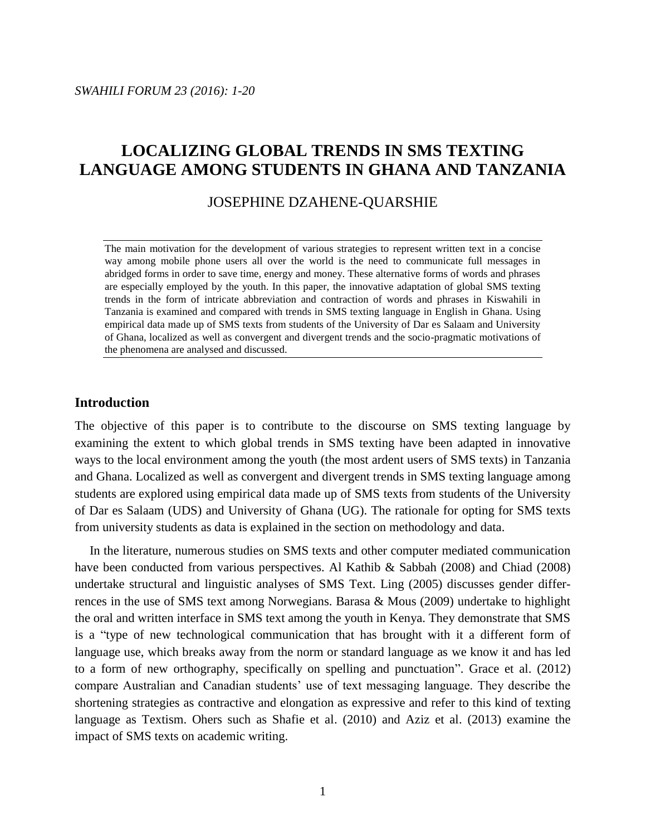### JOSEPHINE DZAHENE-QUARSHIE

The main motivation for the development of various strategies to represent written text in a concise way among mobile phone users all over the world is the need to communicate full messages in abridged forms in order to save time, energy and money. These alternative forms of words and phrases are especially employed by the youth. In this paper, the innovative adaptation of global SMS texting trends in the form of intricate abbreviation and contraction of words and phrases in Kiswahili in Tanzania is examined and compared with trends in SMS texting language in English in Ghana. Using empirical data made up of SMS texts from students of the University of Dar es Salaam and University of Ghana, localized as well as convergent and divergent trends and the socio-pragmatic motivations of the phenomena are analysed and discussed.

## **Introduction**

The objective of this paper is to contribute to the discourse on SMS texting language by examining the extent to which global trends in SMS texting have been adapted in innovative ways to the local environment among the youth (the most ardent users of SMS texts) in Tanzania and Ghana. Localized as well as convergent and divergent trends in SMS texting language among students are explored using empirical data made up of SMS texts from students of the University of Dar es Salaam (UDS) and University of Ghana (UG). The rationale for opting for SMS texts from university students as data is explained in the section on methodology and data.

In the literature, numerous studies on SMS texts and other computer mediated communication have been conducted from various perspectives. Al Kathib & Sabbah (2008) and Chiad (2008) undertake structural and linguistic analyses of SMS Text. Ling (2005) discusses gender differrences in the use of SMS text among Norwegians. Barasa & Mous (2009) undertake to highlight the oral and written interface in SMS text among the youth in Kenya. They demonstrate that SMS is a "type of new technological communication that has brought with it a different form of language use, which breaks away from the norm or standard language as we know it and has led to a form of new orthography, specifically on spelling and punctuation". Grace et al. (2012) compare Australian and Canadian students' use of text messaging language. They describe the shortening strategies as contractive and elongation as expressive and refer to this kind of texting language as Textism. Ohers such as Shafie et al. (2010) and Aziz et al. (2013) examine the impact of SMS texts on academic writing.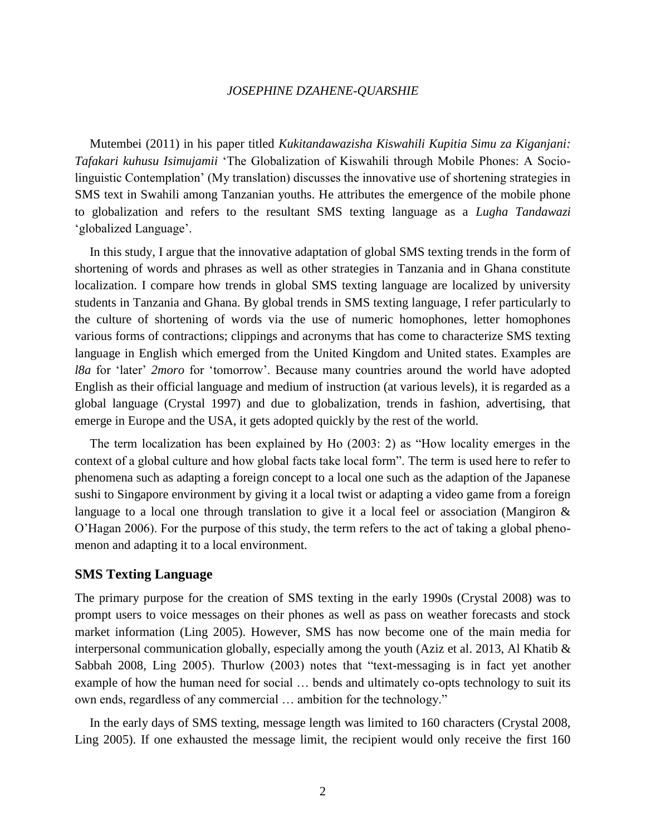Mutembei (2011) in his paper titled *Kukitandawazisha Kiswahili Kupitia Simu za Kiganjani: Tafakari kuhusu Isimujamii* 'The Globalization of Kiswahili through Mobile Phones: A Sociolinguistic Contemplation' (My translation) discusses the innovative use of shortening strategies in SMS text in Swahili among Tanzanian youths. He attributes the emergence of the mobile phone to globalization and refers to the resultant SMS texting language as a *Lugha Tandawazi* 'globalized Language'.

In this study, I argue that the innovative adaptation of global SMS texting trends in the form of shortening of words and phrases as well as other strategies in Tanzania and in Ghana constitute localization. I compare how trends in global SMS texting language are localized by university students in Tanzania and Ghana. By global trends in SMS texting language, I refer particularly to the culture of shortening of words via the use of numeric homophones, letter homophones various forms of contractions; clippings and acronyms that has come to characterize SMS texting language in English which emerged from the United Kingdom and United states. Examples are *l8a* for 'later' *2moro* for 'tomorrow'. Because many countries around the world have adopted English as their official language and medium of instruction (at various levels), it is regarded as a global language (Crystal 1997) and due to globalization, trends in fashion, advertising, that emerge in Europe and the USA, it gets adopted quickly by the rest of the world.

The term localization has been explained by Ho (2003: 2) as "How locality emerges in the context of a global culture and how global facts take local form". The term is used here to refer to phenomena such as adapting a foreign concept to a local one such as the adaption of the Japanese sushi to Singapore environment by giving it a local twist or adapting a video game from a foreign language to a local one through translation to give it a local feel or association (Mangiron & O'Hagan 2006). For the purpose of this study, the term refers to the act of taking a global phenomenon and adapting it to a local environment.

### **SMS Texting Language**

The primary purpose for the creation of SMS texting in the early 1990s (Crystal 2008) was to prompt users to voice messages on their phones as well as pass on weather forecasts and stock market information (Ling 2005). However, SMS has now become one of the main media for interpersonal communication globally, especially among the youth (Aziz et al. 2013, Al Khatib & Sabbah 2008, Ling 2005). Thurlow (2003) notes that "text-messaging is in fact yet another example of how the human need for social ... bends and ultimately co-opts technology to suit its own ends, regardless of any commercial … ambition for the technology."

In the early days of SMS texting, message length was limited to 160 characters (Crystal 2008, Ling 2005). If one exhausted the message limit, the recipient would only receive the first 160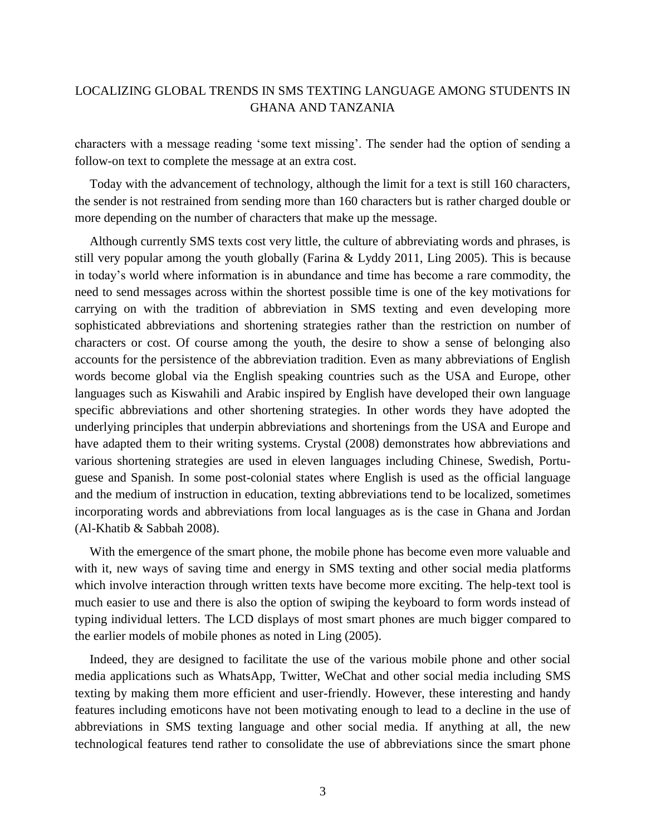characters with a message reading 'some text missing'. The sender had the option of sending a follow-on text to complete the message at an extra cost.

Today with the advancement of technology, although the limit for a text is still 160 characters, the sender is not restrained from sending more than 160 characters but is rather charged double or more depending on the number of characters that make up the message.

Although currently SMS texts cost very little, the culture of abbreviating words and phrases, is still very popular among the youth globally (Farina & Lyddy 2011, Ling 2005). This is because in today's world where information is in abundance and time has become a rare commodity, the need to send messages across within the shortest possible time is one of the key motivations for carrying on with the tradition of abbreviation in SMS texting and even developing more sophisticated abbreviations and shortening strategies rather than the restriction on number of characters or cost. Of course among the youth, the desire to show a sense of belonging also accounts for the persistence of the abbreviation tradition. Even as many abbreviations of English words become global via the English speaking countries such as the USA and Europe, other languages such as Kiswahili and Arabic inspired by English have developed their own language specific abbreviations and other shortening strategies. In other words they have adopted the underlying principles that underpin abbreviations and shortenings from the USA and Europe and have adapted them to their writing systems. Crystal (2008) demonstrates how abbreviations and various shortening strategies are used in eleven languages including Chinese, Swedish, Portuguese and Spanish. In some post-colonial states where English is used as the official language and the medium of instruction in education, texting abbreviations tend to be localized, sometimes incorporating words and abbreviations from local languages as is the case in Ghana and Jordan (Al-Khatib & Sabbah 2008).

With the emergence of the smart phone, the mobile phone has become even more valuable and with it, new ways of saving time and energy in SMS texting and other social media platforms which involve interaction through written texts have become more exciting. The help-text tool is much easier to use and there is also the option of swiping the keyboard to form words instead of typing individual letters. The LCD displays of most smart phones are much bigger compared to the earlier models of mobile phones as noted in Ling (2005).

Indeed, they are designed to facilitate the use of the various mobile phone and other social media applications such as WhatsApp, Twitter, WeChat and other social media including SMS texting by making them more efficient and user-friendly. However, these interesting and handy features including emoticons have not been motivating enough to lead to a decline in the use of abbreviations in SMS texting language and other social media. If anything at all, the new technological features tend rather to consolidate the use of abbreviations since the smart phone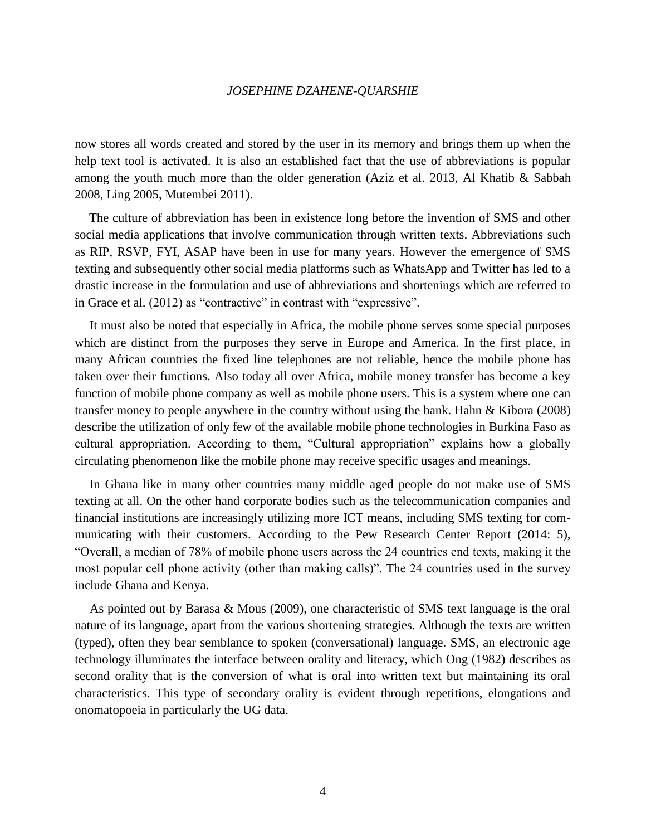now stores all words created and stored by the user in its memory and brings them up when the help text tool is activated. It is also an established fact that the use of abbreviations is popular among the youth much more than the older generation (Aziz et al. 2013, Al Khatib & Sabbah 2008, Ling 2005, Mutembei 2011).

The culture of abbreviation has been in existence long before the invention of SMS and other social media applications that involve communication through written texts. Abbreviations such as RIP, RSVP, FYI, ASAP have been in use for many years. However the emergence of SMS texting and subsequently other social media platforms such as WhatsApp and Twitter has led to a drastic increase in the formulation and use of abbreviations and shortenings which are referred to in Grace et al. (2012) as "contractive" in contrast with "expressive".

It must also be noted that especially in Africa, the mobile phone serves some special purposes which are distinct from the purposes they serve in Europe and America. In the first place, in many African countries the fixed line telephones are not reliable, hence the mobile phone has taken over their functions. Also today all over Africa, mobile money transfer has become a key function of mobile phone company as well as mobile phone users. This is a system where one can transfer money to people anywhere in the country without using the bank. Hahn & Kibora (2008) describe the utilization of only few of the available mobile phone technologies in Burkina Faso as cultural appropriation. According to them, "Cultural appropriation" explains how a globally circulating phenomenon like the mobile phone may receive specific usages and meanings.

In Ghana like in many other countries many middle aged people do not make use of SMS texting at all. On the other hand corporate bodies such as the telecommunication companies and financial institutions are increasingly utilizing more ICT means, including SMS texting for communicating with their customers. According to the Pew Research Center Report (2014: 5), "Overall, a median of 78% of mobile phone users across the 24 countries end texts, making it the most popular cell phone activity (other than making calls)". The 24 countries used in the survey include Ghana and Kenya.

As pointed out by Barasa & Mous (2009), one characteristic of SMS text language is the oral nature of its language, apart from the various shortening strategies. Although the texts are written (typed), often they bear semblance to spoken (conversational) language. SMS, an electronic age technology illuminates the interface between orality and literacy, which Ong (1982) describes as second orality that is the conversion of what is oral into written text but maintaining its oral characteristics. This type of secondary orality is evident through repetitions, elongations and onomatopoeia in particularly the UG data.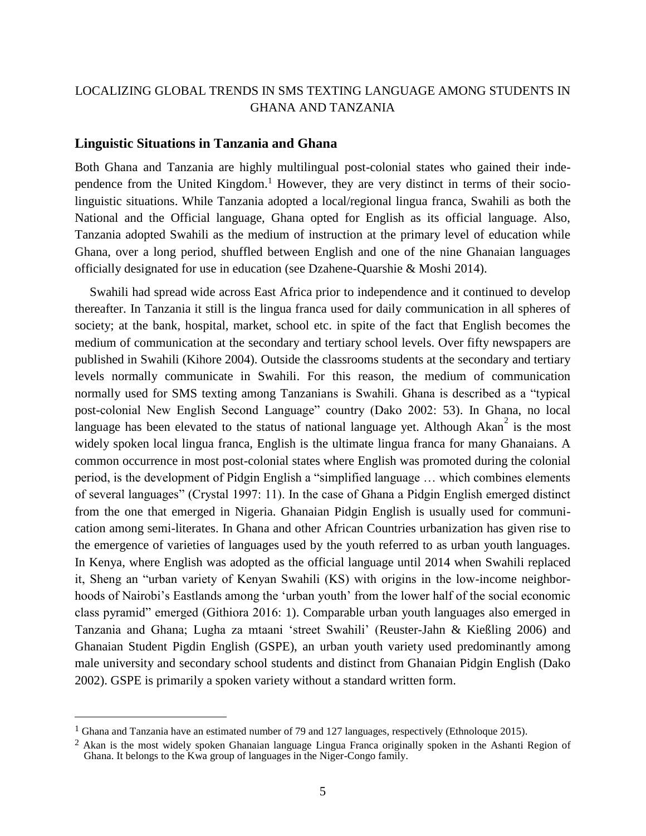#### **Linguistic Situations in Tanzania and Ghana**

Both Ghana and Tanzania are highly multilingual post-colonial states who gained their independence from the United Kingdom.<sup>1</sup> However, they are very distinct in terms of their sociolinguistic situations. While Tanzania adopted a local/regional lingua franca, Swahili as both the National and the Official language, Ghana opted for English as its official language. Also, Tanzania adopted Swahili as the medium of instruction at the primary level of education while Ghana, over a long period, shuffled between English and one of the nine Ghanaian languages officially designated for use in education (see Dzahene-Quarshie & Moshi 2014).

Swahili had spread wide across East Africa prior to independence and it continued to develop thereafter. In Tanzania it still is the lingua franca used for daily communication in all spheres of society; at the bank, hospital, market, school etc. in spite of the fact that English becomes the medium of communication at the secondary and tertiary school levels. Over fifty newspapers are published in Swahili (Kihore 2004). Outside the classrooms students at the secondary and tertiary levels normally communicate in Swahili. For this reason, the medium of communication normally used for SMS texting among Tanzanians is Swahili. Ghana is described as a "typical post-colonial New English Second Language" country (Dako 2002: 53). In Ghana, no local language has been elevated to the status of national language yet. Although Akan<sup>2</sup> is the most widely spoken local lingua franca, English is the ultimate lingua franca for many Ghanaians. A common occurrence in most post-colonial states where English was promoted during the colonial period, is the development of Pidgin English a "simplified language … which combines elements of several languages" (Crystal 1997: 11). In the case of Ghana a Pidgin English emerged distinct from the one that emerged in Nigeria. Ghanaian Pidgin English is usually used for communication among semi-literates. In Ghana and other African Countries urbanization has given rise to the emergence of varieties of languages used by the youth referred to as urban youth languages. In Kenya, where English was adopted as the official language until 2014 when Swahili replaced it, Sheng an "urban variety of Kenyan Swahili (KS) with origins in the low-income neighborhoods of Nairobi's Eastlands among the 'urban youth' from the lower half of the social economic class pyramid" emerged (Githiora 2016: 1). Comparable urban youth languages also emerged in Tanzania and Ghana; Lugha za mtaani 'street Swahili' (Reuster-Jahn & Kießling 2006) and Ghanaian Student Pigdin English (GSPE), an urban youth variety used predominantly among male university and secondary school students and distinct from Ghanaian Pidgin English (Dako 2002). GSPE is primarily a spoken variety without a standard written form.

 $\overline{a}$ 

<sup>1</sup> Ghana and Tanzania have an estimated number of 79 and 127 languages, respectively (Ethnoloque 2015).

<sup>&</sup>lt;sup>2</sup> Akan is the most widely spoken Ghanaian language Lingua Franca originally spoken in the Ashanti Region of Ghana. It belongs to the Kwa group of languages in the Niger-Congo family.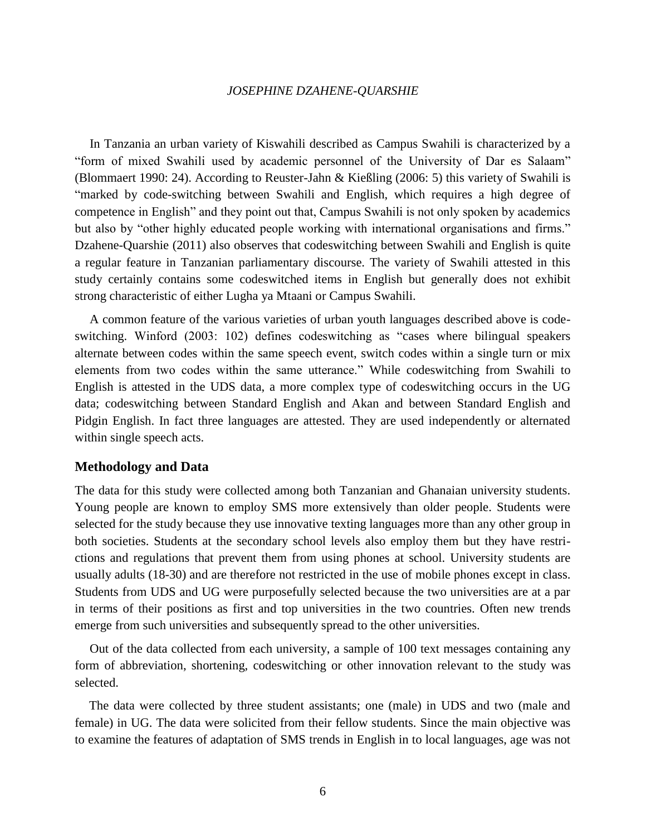In Tanzania an urban variety of Kiswahili described as Campus Swahili is characterized by a "form of mixed Swahili used by academic personnel of the University of Dar es Salaam" (Blommaert 1990: 24). According to Reuster-Jahn & Kießling (2006: 5) this variety of Swahili is "marked by code-switching between Swahili and English, which requires a high degree of competence in English" and they point out that, Campus Swahili is not only spoken by academics but also by "other highly educated people working with international organisations and firms." Dzahene-Quarshie (2011) also observes that codeswitching between Swahili and English is quite a regular feature in Tanzanian parliamentary discourse. The variety of Swahili attested in this study certainly contains some codeswitched items in English but generally does not exhibit strong characteristic of either Lugha ya Mtaani or Campus Swahili.

A common feature of the various varieties of urban youth languages described above is codeswitching. Winford (2003: 102) defines codeswitching as "cases where bilingual speakers alternate between codes within the same speech event, switch codes within a single turn or mix elements from two codes within the same utterance." While codeswitching from Swahili to English is attested in the UDS data, a more complex type of codeswitching occurs in the UG data; codeswitching between Standard English and Akan and between Standard English and Pidgin English. In fact three languages are attested. They are used independently or alternated within single speech acts.

#### **Methodology and Data**

The data for this study were collected among both Tanzanian and Ghanaian university students. Young people are known to employ SMS more extensively than older people. Students were selected for the study because they use innovative texting languages more than any other group in both societies. Students at the secondary school levels also employ them but they have restrictions and regulations that prevent them from using phones at school. University students are usually adults (18-30) and are therefore not restricted in the use of mobile phones except in class. Students from UDS and UG were purposefully selected because the two universities are at a par in terms of their positions as first and top universities in the two countries. Often new trends emerge from such universities and subsequently spread to the other universities.

Out of the data collected from each university, a sample of 100 text messages containing any form of abbreviation, shortening, codeswitching or other innovation relevant to the study was selected.

The data were collected by three student assistants; one (male) in UDS and two (male and female) in UG. The data were solicited from their fellow students. Since the main objective was to examine the features of adaptation of SMS trends in English in to local languages, age was not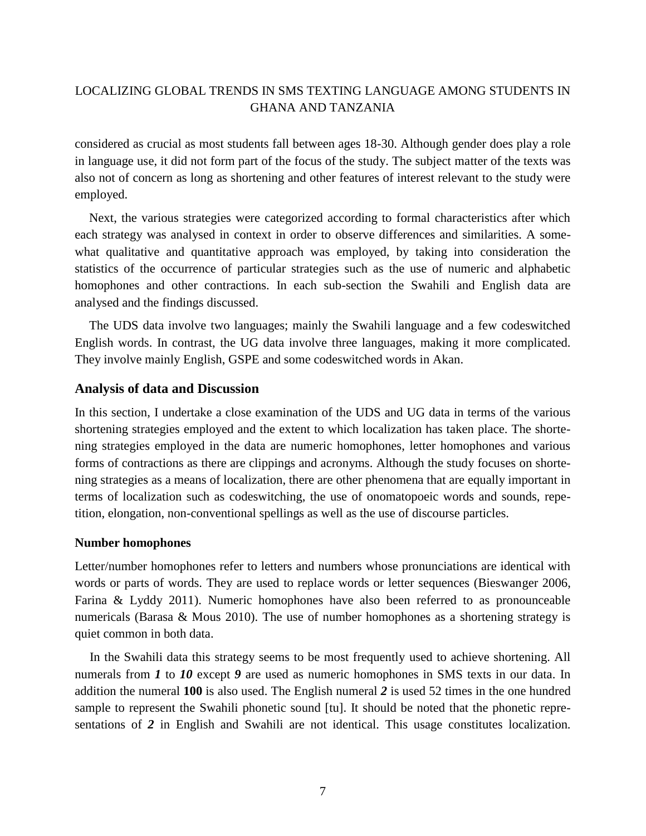considered as crucial as most students fall between ages 18-30. Although gender does play a role in language use, it did not form part of the focus of the study. The subject matter of the texts was also not of concern as long as shortening and other features of interest relevant to the study were employed.

Next, the various strategies were categorized according to formal characteristics after which each strategy was analysed in context in order to observe differences and similarities. A somewhat qualitative and quantitative approach was employed, by taking into consideration the statistics of the occurrence of particular strategies such as the use of numeric and alphabetic homophones and other contractions. In each sub-section the Swahili and English data are analysed and the findings discussed.

The UDS data involve two languages; mainly the Swahili language and a few codeswitched English words. In contrast, the UG data involve three languages, making it more complicated. They involve mainly English, GSPE and some codeswitched words in Akan.

### **Analysis of data and Discussion**

In this section, I undertake a close examination of the UDS and UG data in terms of the various shortening strategies employed and the extent to which localization has taken place. The shortening strategies employed in the data are numeric homophones, letter homophones and various forms of contractions as there are clippings and acronyms. Although the study focuses on shortening strategies as a means of localization, there are other phenomena that are equally important in terms of localization such as codeswitching, the use of onomatopoeic words and sounds, repetition, elongation, non-conventional spellings as well as the use of discourse particles.

#### **Number homophones**

Letter/number homophones refer to letters and numbers whose pronunciations are identical with words or parts of words. They are used to replace words or letter sequences (Bieswanger 2006, Farina & Lyddy 2011). Numeric homophones have also been referred to as pronounceable numericals (Barasa & Mous 2010). The use of number homophones as a shortening strategy is quiet common in both data.

In the Swahili data this strategy seems to be most frequently used to achieve shortening. All numerals from *1* to *10* except *9* are used as numeric homophones in SMS texts in our data. In addition the numeral **100** is also used. The English numeral *2* is used 52 times in the one hundred sample to represent the Swahili phonetic sound [tu]. It should be noted that the phonetic representations of *2* in English and Swahili are not identical. This usage constitutes localization.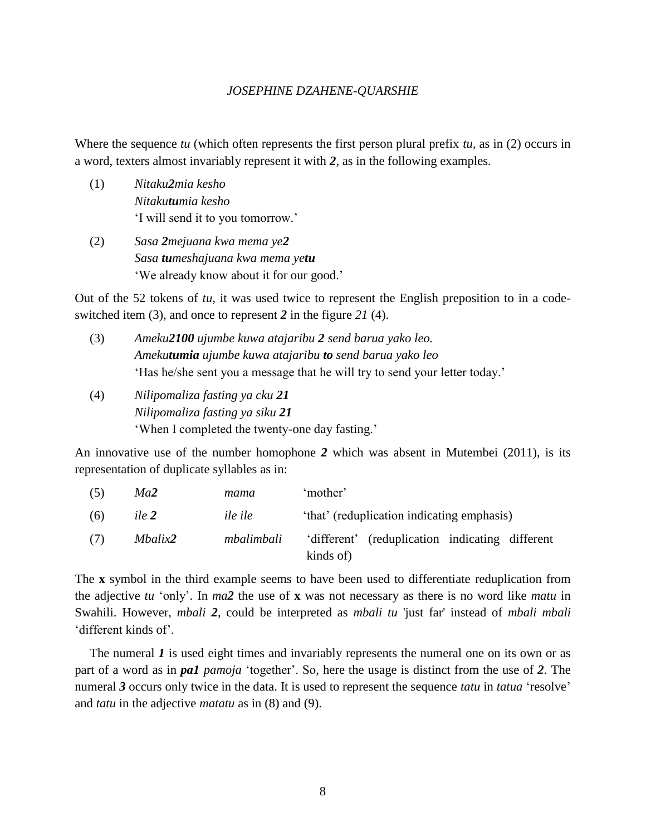Where the sequence *tu* (which often represents the first person plural prefix *tu*, as in (2) occurs in a word, texters almost invariably represent it with *2*, as in the following examples.

- (1) *Nitaku2mia kesho Nitakutumia kesho* 'I will send it to you tomorrow.'
- (2) *Sasa 2mejuana kwa mema ye2 Sasa tumeshajuana kwa mema yetu* 'We already know about it for our good.'

Out of the 52 tokens of *tu*, it was used twice to represent the English preposition to in a codeswitched item (3), and once to represent *2* in the figure *21* (4).

- (3) *Ameku2100 ujumbe kuwa atajaribu 2 send barua yako leo. Amekutumia ujumbe kuwa atajaribu to send barua yako leo* 'Has he/she sent you a message that he will try to send your letter today.'
- (4) *Nilipomaliza fasting ya cku 21 Nilipomaliza fasting ya siku 21* 'When I completed the twenty-one day fasting.'

An innovative use of the number homophone *2* which was absent in Mutembei (2011), is its representation of duplicate syllables as in:

| (5) | Ma2     | mama       | 'mother'                                        |
|-----|---------|------------|-------------------------------------------------|
| (6) | ile 2   | ile ile    | 'that' (reduplication indicating emphasis)      |
| (7) | Mbalix2 | mbalimbali | 'different' (reduplication indicating different |
|     |         |            | kinds of)                                       |

The **x** symbol in the third example seems to have been used to differentiate reduplication from the adjective *tu* 'only'. In *ma2* the use of **x** was not necessary as there is no word like *matu* in Swahili. However, *mbali 2*, could be interpreted as *mbali tu* 'just far' instead of *mbali mbali* 'different kinds of'.

The numeral *I* is used eight times and invariably represents the numeral one on its own or as part of a word as in *pa1 pamoja* 'together'. So, here the usage is distinct from the use of *2*. The numeral *3* occurs only twice in the data. It is used to represent the sequence *tatu* in *tatua* 'resolve' and *tatu* in the adjective *matatu* as in (8) and (9).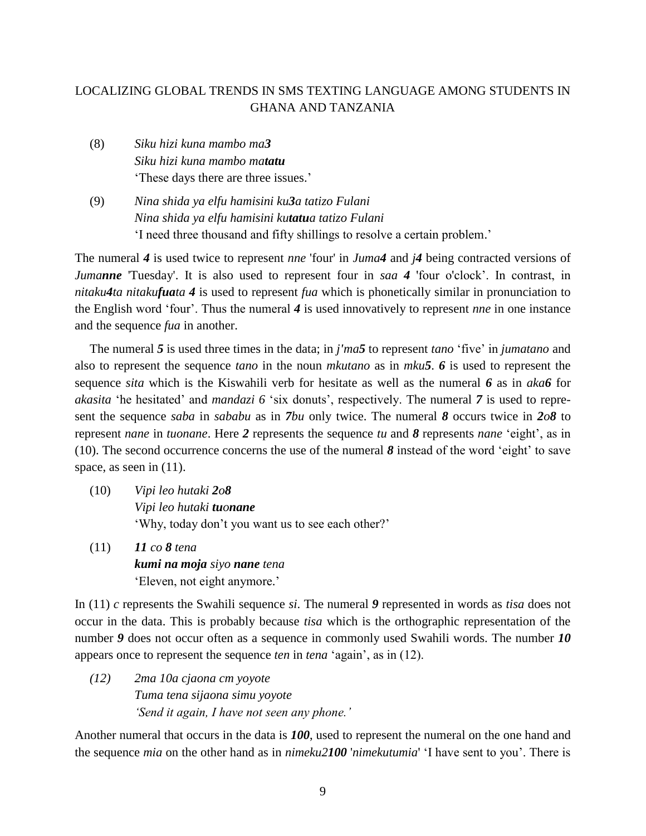- (8) *Siku hizi kuna mambo ma3 Siku hizi kuna mambo matatu* 'These days there are three issues.'
- (9) *Nina shida ya elfu hamisini ku3a tatizo Fulani Nina shida ya elfu hamisini kutatua tatizo Fulani* 'I need three thousand and fifty shillings to resolve a certain problem.'

The numeral *4* is used twice to represent *nne* 'four' in *Juma4* and *j4* being contracted versions of *Jumanne* 'Tuesday'. It is also used to represent four in *saa 4* 'four o'clock'. In contrast, in *nitaku4ta nitakufuata 4* is used to represent *fua* which is phonetically similar in pronunciation to the English word 'four'. Thus the numeral *4* is used innovatively to represent *nne* in one instance and the sequence *fua* in another.

The numeral *5* is used three times in the data; in *j'ma5* to represent *tano* 'five' in *jumatano* and also to represent the sequence *tano* in the noun *mkutano* as in *mku5*. *6* is used to represent the sequence *sita* which is the Kiswahili verb for hesitate as well as the numeral *6* as in *aka6* for *akasita* 'he hesitated' and *mandazi 6* 'six donuts', respectively. The numeral *7* is used to represent the sequence *saba* in *sababu* as in *7bu* only twice. The numeral *8* occurs twice in *2o8* to represent *nane* in *tuonane*. Here *2* represents the sequence *tu* and *8* represents *nane* 'eight', as in (10). The second occurrence concerns the use of the numeral *8* instead of the word 'eight' to save space, as seen in  $(11)$ .

- (10) *Vipi leo hutaki 2o8 Vipi leo hutaki tuonane* 'Why, today don't you want us to see each other?'
- (11) *11 co 8 tena kumi na moja siyo nane tena* 'Eleven, not eight anymore.'

In (11) *c* represents the Swahili sequence *si*. The numeral *9* represented in words as *tisa* does not occur in the data. This is probably because *tisa* which is the orthographic representation of the number 9 does not occur often as a sequence in commonly used Swahili words. The number 10 appears once to represent the sequence *ten* in *tena* 'again', as in (12).

*(12) 2ma 10a cjaona cm yoyote Tuma tena sijaona simu yoyote 'Send it again, I have not seen any phone.'*

Another numeral that occurs in the data is *100*, used to represent the numeral on the one hand and the sequence *mia* on the other hand as in *nimeku2100* '*nimekutumia*' 'I have sent to you'. There is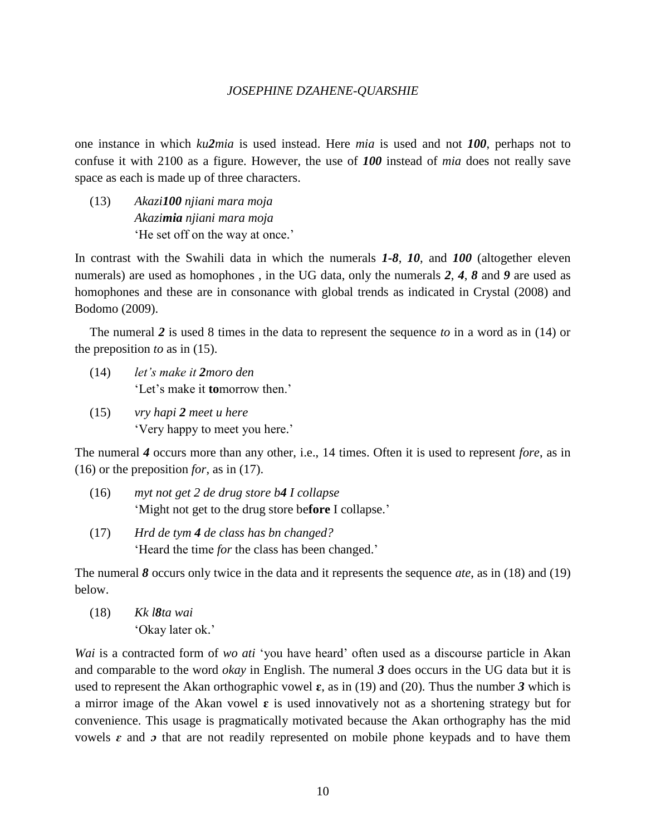one instance in which *ku2mia* is used instead. Here *mia* is used and not *100*, perhaps not to confuse it with 2100 as a figure. However, the use of *100* instead of *mia* does not really save space as each is made up of three characters.

(13) *Akazi100 njiani mara moja Akazimia njiani mara moja* 'He set off on the way at once.'

In contrast with the Swahili data in which the numerals *1-8*, *10*, and *100* (altogether eleven numerals) are used as homophones , in the UG data, only the numerals *2*, *4*, *8* and *9* are used as homophones and these are in consonance with global trends as indicated in Crystal (2008) and Bodomo (2009).

The numeral *2* is used 8 times in the data to represent the sequence *to* in a word as in (14) or the preposition *to* as in (15).

- (14) *let's make it 2moro den* 'Let's make it **to**morrow then.'
- (15) *vry hapi 2 meet u here* 'Very happy to meet you here.'

The numeral *4* occurs more than any other, i.e., 14 times. Often it is used to represent *fore*, as in (16) or the preposition *for*, as in (17).

- (16) *myt not get 2 de drug store b4 I collapse* 'Might not get to the drug store be**fore** I collapse.'
- (17) *Hrd de tym 4 de class has bn changed?* 'Heard the time *for* the class has been changed.'

The numeral *8* occurs only twice in the data and it represents the sequence *ate*, as in (18) and (19) below.

(18) *Kk l8ta wai* 'Okay later ok.'

*Wai* is a contracted form of *wo ati* 'you have heard' often used as a discourse particle in Akan and comparable to the word *okay* in English. The numeral *3* does occurs in the UG data but it is used to represent the Akan orthographic vowel  $\varepsilon$ , as in (19) and (20). Thus the number 3 which is a mirror image of the Akan vowel **ɛ** is used innovatively not as a shortening strategy but for convenience. This usage is pragmatically motivated because the Akan orthography has the mid vowels  $\varepsilon$  and  $\sigma$  that are not readily represented on mobile phone keypads and to have them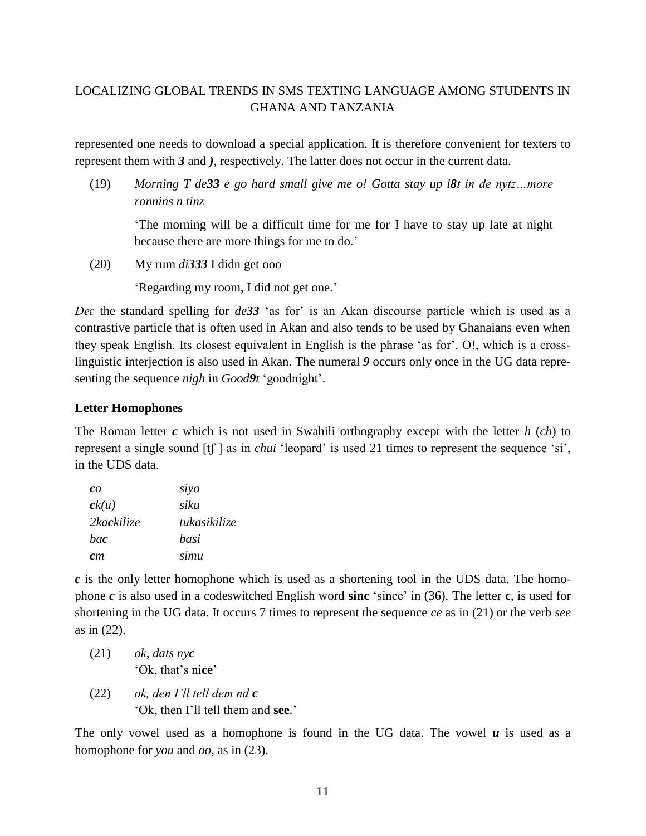represented one needs to download a special application. It is therefore convenient for texters to represent them with *3* and *)*, respectively. The latter does not occur in the current data.

(19) *Morning T de33 e go hard small give me o! Gotta stay up l8t in de nytz…more ronnins n tinz*

'The morning will be a difficult time for me for I have to stay up late at night because there are more things for me to do.'

(20) My rum *di333* I didn get ooo

'Regarding my room, I did not get one.'

*Deɛ* the standard spelling for *de33* 'as for' is an Akan discourse particle which is used as a contrastive particle that is often used in Akan and also tends to be used by Ghanaians even when they speak English. Its closest equivalent in English is the phrase 'as for'. O!, which is a crosslinguistic interjection is also used in Akan. The numeral *9* occurs only once in the UG data representing the sequence *nigh* in *Good9t* 'goodnight'.

# **Letter Homophones**

The Roman letter *c* which is not used in Swahili orthography except with the letter *h* (*ch*) to represent a single sound [tʃ ] as in *chui* 'leopard' is used 21 times to represent the sequence 'si', in the UDS data.

| $\mathbf{c}\mathbf{o}$ | siyo         |
|------------------------|--------------|
| ck(u)                  | siku         |
| 2kackilize             | tukasikilize |
| <i>hac</i>             | hasi         |
| cm                     | simu         |

*c* is the only letter homophone which is used as a shortening tool in the UDS data. The homophone *c* is also used in a codeswitched English word **sinc** 'since' in (36). The letter **c**, is used for shortening in the UG data. It occurs 7 times to represent the sequence *ce* as in (21) or the verb *see* as in (22).

- (21) *ok, dats nyc* 'Ok, that's ni**ce**'
- (22) *ok, den I'll tell dem nd c* 'Ok, then I'll tell them and **see**.'

The only vowel used as a homophone is found in the UG data. The vowel  $\boldsymbol{u}$  is used as a homophone for *you* and *oo,* as in (23).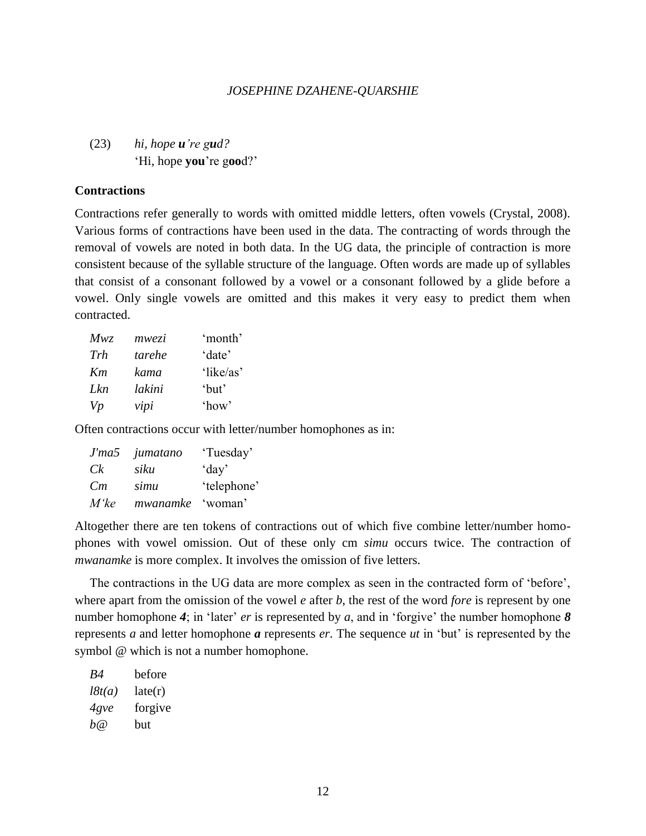(23) *hi, hope u're gud?* 'Hi, hope **you**'re g**oo**d?'

#### **Contractions**

Contractions refer generally to words with omitted middle letters, often vowels (Crystal, 2008). Various forms of contractions have been used in the data. The contracting of words through the removal of vowels are noted in both data. In the UG data, the principle of contraction is more consistent because of the syllable structure of the language. Often words are made up of syllables that consist of a consonant followed by a vowel or a consonant followed by a glide before a vowel. Only single vowels are omitted and this makes it very easy to predict them when contracted.

| Mwz | mwezi  | 'month'   |
|-----|--------|-----------|
| Trh | tarehe | 'date'    |
| Km  | kama   | 'like/as' |
| Lkn | lakini | 'but'     |
| Vp  | vipi   | 'how'     |

Often contractions occur with letter/number homophones as in:

| J'ma5   | jumatano | 'Tuesday'   |
|---------|----------|-------------|
| Ck      | siku     | day'        |
| Cm      | simu     | 'telephone' |
| $M'$ ke | mwanamke | 'woman'     |

Altogether there are ten tokens of contractions out of which five combine letter/number homophones with vowel omission. Out of these only cm *simu* occurs twice. The contraction of *mwanamke* is more complex. It involves the omission of five letters.

The contractions in the UG data are more complex as seen in the contracted form of 'before', where apart from the omission of the vowel *e* after *b*, the rest of the word *fore* is represent by one number homophone 4; in 'later' *er* is represented by *a*, and in 'forgive' the number homophone *8* represents *a* and letter homophone *a* represents *er*. The sequence *ut* in 'but' is represented by the symbol @ which is not a number homophone.

| R4     | before  |
|--------|---------|
| l8t(a) | late(r) |
| 4gve   | forgive |
| b@     | but     |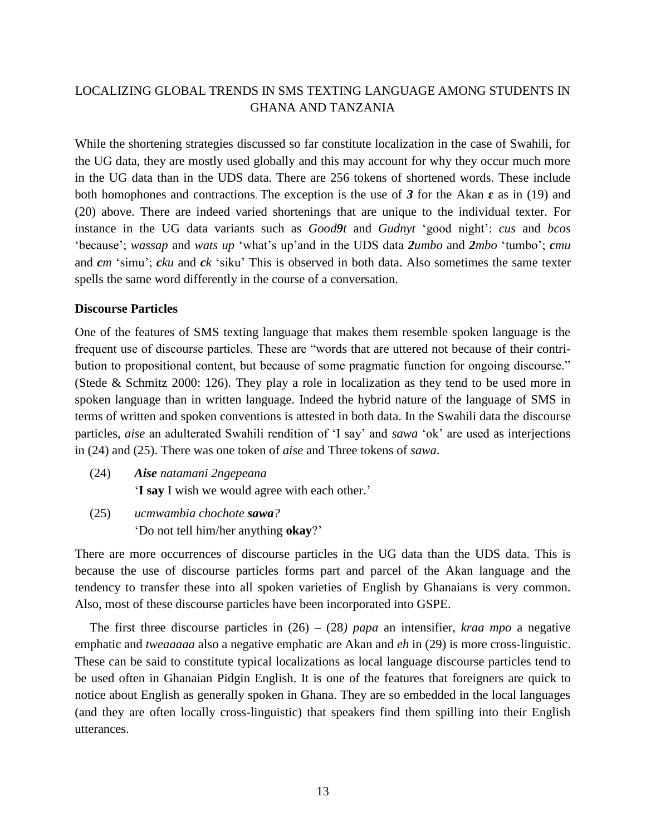While the shortening strategies discussed so far constitute localization in the case of Swahili, for the UG data, they are mostly used globally and this may account for why they occur much more in the UG data than in the UDS data. There are 256 tokens of shortened words. These include both homophones and contractions. The exception is the use of 3 for the Akan  $\epsilon$  as in (19) and (20) above. There are indeed varied shortenings that are unique to the individual texter. For instance in the UG data variants such as *Good9t* and *Gudnyt* 'good night': *cus* and *bcos* 'because'; *wassap* and *wats up* 'what's up'and in the UDS data *2umbo* and *2mbo* 'tumbo'; *cmu* and *cm* 'simu'; *cku* and *ck* 'siku' This is observed in both data. Also sometimes the same texter spells the same word differently in the course of a conversation.

### **Discourse Particles**

One of the features of SMS texting language that makes them resemble spoken language is the frequent use of discourse particles. These are "words that are uttered not because of their contribution to propositional content, but because of some pragmatic function for ongoing discourse." (Stede & Schmitz 2000: 126). They play a role in localization as they tend to be used more in spoken language than in written language. Indeed the hybrid nature of the language of SMS in terms of written and spoken conventions is attested in both data. In the Swahili data the discourse particles, *aise* an adulterated Swahili rendition of 'I say' and *sawa* 'ok' are used as interjections in (24) and (25). There was one token of *aise* and Three tokens of *sawa*.

- (24) *Aise natamani 2ngepeana* '**I say** I wish we would agree with each other.'
- (25) *ucmwambia chochote sawa?* 'Do not tell him/her anything **okay**?'

There are more occurrences of discourse particles in the UG data than the UDS data. This is because the use of discourse particles forms part and parcel of the Akan language and the tendency to transfer these into all spoken varieties of English by Ghanaians is very common. Also, most of these discourse particles have been incorporated into GSPE.

The first three discourse particles in (26) – (28*) papa* an intensifier*, kraa mpo* a negative emphatic and *tweaaaaa* also a negative emphatic are Akan and *eh* in (29) is more cross-linguistic. These can be said to constitute typical localizations as local language discourse particles tend to be used often in Ghanaian Pidgin English. It is one of the features that foreigners are quick to notice about English as generally spoken in Ghana. They are so embedded in the local languages (and they are often locally cross-linguistic) that speakers find them spilling into their English utterances.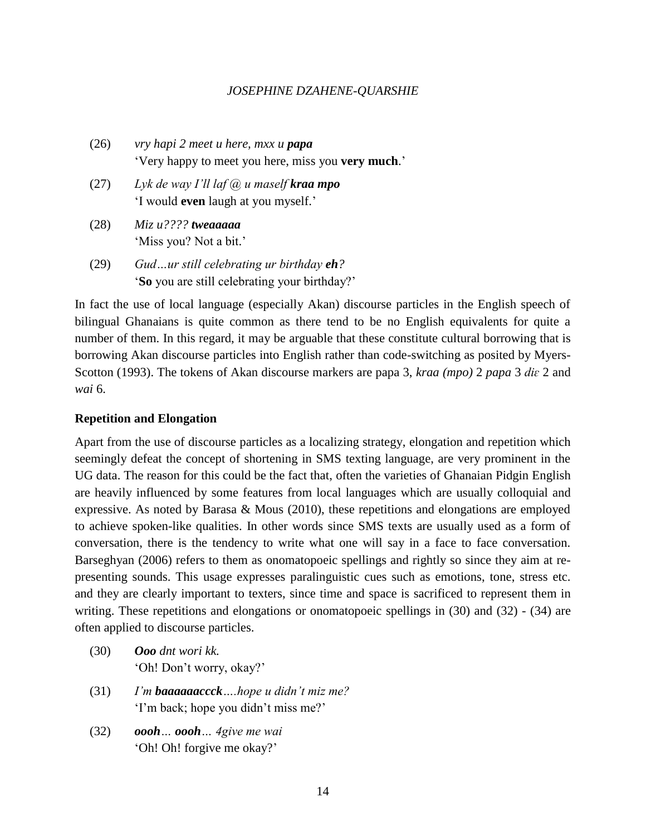- (26) *vry hapi 2 meet u here, mxx u papa* 'Very happy to meet you here, miss you **very much**.'
- (27) *Lyk de way I'll laf @ u maself kraa mpo* 'I would **even** laugh at you myself.'
- (28) *Miz u???? tweaaaaa* 'Miss you? Not a bit.'
- (29) *Gud…ur still celebrating ur birthday eh?* '**So** you are still celebrating your birthday?'

In fact the use of local language (especially Akan) discourse particles in the English speech of bilingual Ghanaians is quite common as there tend to be no English equivalents for quite a number of them. In this regard, it may be arguable that these constitute cultural borrowing that is borrowing Akan discourse particles into English rather than code-switching as posited by Myers-Scotton (1993). The tokens of Akan discourse markers are papa 3, *kraa (mpo)* 2 *papa* 3 *diɛ* 2 and *wai* 6.

# **Repetition and Elongation**

Apart from the use of discourse particles as a localizing strategy, elongation and repetition which seemingly defeat the concept of shortening in SMS texting language, are very prominent in the UG data. The reason for this could be the fact that, often the varieties of Ghanaian Pidgin English are heavily influenced by some features from local languages which are usually colloquial and expressive. As noted by Barasa & Mous (2010), these repetitions and elongations are employed to achieve spoken-like qualities. In other words since SMS texts are usually used as a form of conversation, there is the tendency to write what one will say in a face to face conversation. Barseghyan (2006) refers to them as onomatopoeic spellings and rightly so since they aim at representing sounds. This usage expresses paralinguistic cues such as emotions, tone, stress etc. and they are clearly important to texters, since time and space is sacrificed to represent them in writing. These repetitions and elongations or onomatopoeic spellings in (30) and (32) - (34) are often applied to discourse particles.

- (30) *Ooo dnt wori kk.* 'Oh! Don't worry, okay?'
- (31) *I'm baaaaaaccck….hope u didn't miz me?* 'I'm back; hope you didn't miss me?'
- (32) *oooh… oooh… 4give me wai* 'Oh! Oh! forgive me okay?'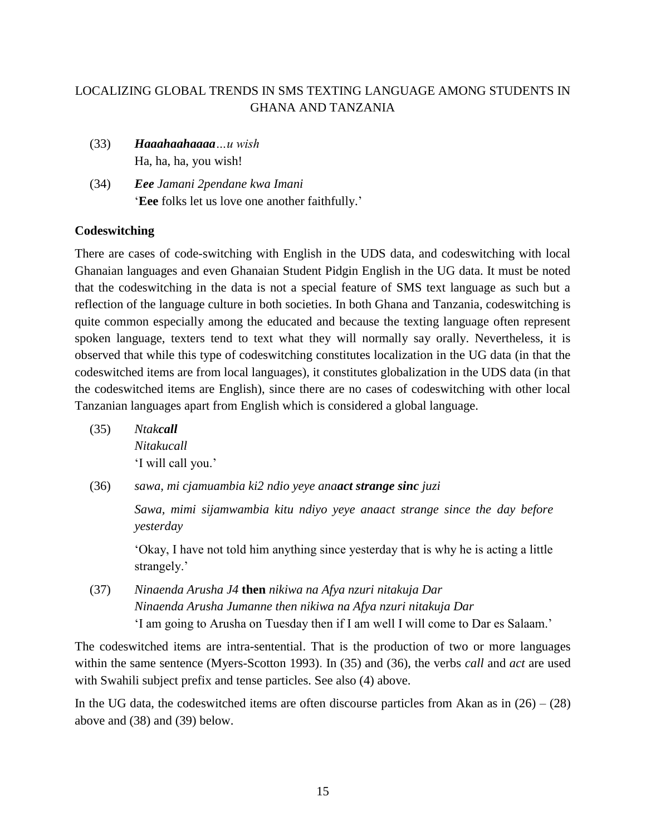- (33) *Haaahaahaaaa…u wish* Ha, ha, ha, you wish!
- (34) *Eee Jamani 2pendane kwa Imani* '**Eee** folks let us love one another faithfully.'

# **Codeswitching**

There are cases of code-switching with English in the UDS data, and codeswitching with local Ghanaian languages and even Ghanaian Student Pidgin English in the UG data. It must be noted that the codeswitching in the data is not a special feature of SMS text language as such but a reflection of the language culture in both societies. In both Ghana and Tanzania, codeswitching is quite common especially among the educated and because the texting language often represent spoken language, texters tend to text what they will normally say orally. Nevertheless, it is observed that while this type of codeswitching constitutes localization in the UG data (in that the codeswitched items are from local languages), it constitutes globalization in the UDS data (in that the codeswitched items are English), since there are no cases of codeswitching with other local Tanzanian languages apart from English which is considered a global language.

- (35) *Ntakcall Nitakucall* 'I will call you.'
- (36) *sawa, mi cjamuambia ki2 ndio yeye anaact strange sinc juzi*

*Sawa, mimi sijamwambia kitu ndiyo yeye anaact strange since the day before yesterday*

'Okay, I have not told him anything since yesterday that is why he is acting a little strangely.'

(37) *Ninaenda Arusha J4* **then** *nikiwa na Afya nzuri nitakuja Dar Ninaenda Arusha Jumanne then nikiwa na Afya nzuri nitakuja Dar* 'I am going to Arusha on Tuesday then if I am well I will come to Dar es Salaam.'

The codeswitched items are intra-sentential. That is the production of two or more languages within the same sentence (Myers-Scotton 1993). In (35) and (36), the verbs *call* and *act* are used with Swahili subject prefix and tense particles. See also (4) above.

In the UG data, the codeswitched items are often discourse particles from Akan as in  $(26) - (28)$ above and (38) and (39) below.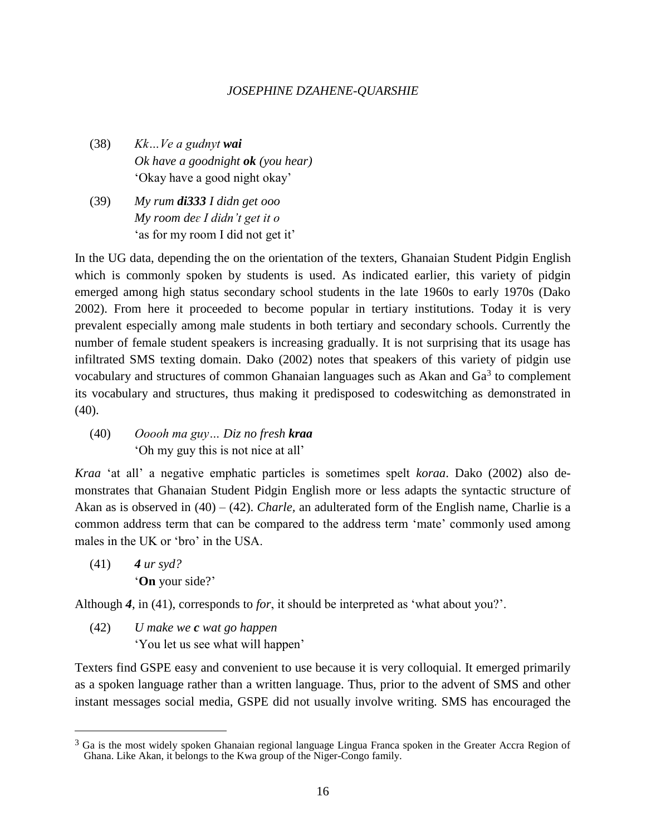- (38) *Kk…Ve a gudnyt wai Ok have a goodnight ok (you hear)* 'Okay have a good night okay'
- (39) *My rum di333 I didn get ooo My room deɛ I didn't get it o* 'as for my room I did not get it'

In the UG data, depending the on the orientation of the texters, Ghanaian Student Pidgin English which is commonly spoken by students is used. As indicated earlier, this variety of pidgin emerged among high status secondary school students in the late 1960s to early 1970s (Dako 2002). From here it proceeded to become popular in tertiary institutions. Today it is very prevalent especially among male students in both tertiary and secondary schools. Currently the number of female student speakers is increasing gradually. It is not surprising that its usage has infiltrated SMS texting domain. Dako (2002) notes that speakers of this variety of pidgin use vocabulary and structures of common Ghanaian languages such as Akan and  $Ga<sup>3</sup>$  to complement its vocabulary and structures, thus making it predisposed to codeswitching as demonstrated in (40).

(40) *Ooooh ma guy… Diz no fresh kraa* 'Oh my guy this is not nice at all'

*Kraa* 'at all' a negative emphatic particles is sometimes spelt *koraa*. Dako (2002) also demonstrates that Ghanaian Student Pidgin English more or less adapts the syntactic structure of Akan as is observed in (40) – (42). *Charle,* an adulterated form of the English name, Charlie is a common address term that can be compared to the address term 'mate' commonly used among males in the UK or 'bro' in the USA.

(41) *4 ur syd?* '**On** your side?'

 $\overline{a}$ 

Although *4*, in (41), corresponds to *for*, it should be interpreted as 'what about you?'.

(42) *U make we c wat go happen* 'You let us see what will happen'

Texters find GSPE easy and convenient to use because it is very colloquial. It emerged primarily as a spoken language rather than a written language. Thus, prior to the advent of SMS and other instant messages social media, GSPE did not usually involve writing. SMS has encouraged the

<sup>&</sup>lt;sup>3</sup> Ga is the most widely spoken Ghanaian regional language Lingua Franca spoken in the Greater Accra Region of Ghana. Like Akan, it belongs to the Kwa group of the Niger-Congo family.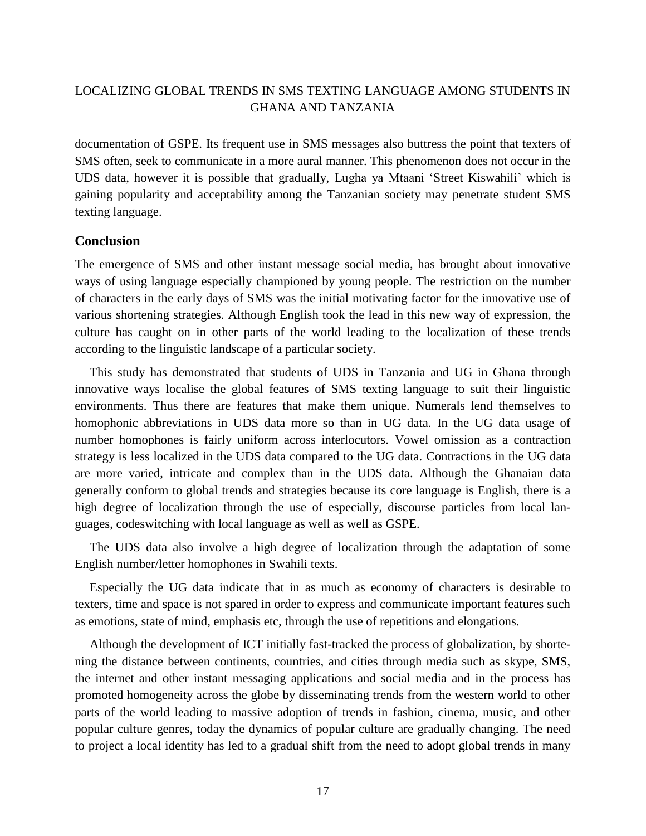documentation of GSPE. Its frequent use in SMS messages also buttress the point that texters of SMS often, seek to communicate in a more aural manner. This phenomenon does not occur in the UDS data, however it is possible that gradually, Lugha ya Mtaani 'Street Kiswahili' which is gaining popularity and acceptability among the Tanzanian society may penetrate student SMS texting language.

### **Conclusion**

The emergence of SMS and other instant message social media, has brought about innovative ways of using language especially championed by young people. The restriction on the number of characters in the early days of SMS was the initial motivating factor for the innovative use of various shortening strategies. Although English took the lead in this new way of expression, the culture has caught on in other parts of the world leading to the localization of these trends according to the linguistic landscape of a particular society.

This study has demonstrated that students of UDS in Tanzania and UG in Ghana through innovative ways localise the global features of SMS texting language to suit their linguistic environments. Thus there are features that make them unique. Numerals lend themselves to homophonic abbreviations in UDS data more so than in UG data. In the UG data usage of number homophones is fairly uniform across interlocutors. Vowel omission as a contraction strategy is less localized in the UDS data compared to the UG data. Contractions in the UG data are more varied, intricate and complex than in the UDS data. Although the Ghanaian data generally conform to global trends and strategies because its core language is English, there is a high degree of localization through the use of especially, discourse particles from local languages, codeswitching with local language as well as well as GSPE.

The UDS data also involve a high degree of localization through the adaptation of some English number/letter homophones in Swahili texts.

Especially the UG data indicate that in as much as economy of characters is desirable to texters, time and space is not spared in order to express and communicate important features such as emotions, state of mind, emphasis etc, through the use of repetitions and elongations.

Although the development of ICT initially fast-tracked the process of globalization, by shortening the distance between continents, countries, and cities through media such as skype, SMS, the internet and other instant messaging applications and social media and in the process has promoted homogeneity across the globe by disseminating trends from the western world to other parts of the world leading to massive adoption of trends in fashion, cinema, music, and other popular culture genres, today the dynamics of popular culture are gradually changing. The need to project a local identity has led to a gradual shift from the need to adopt global trends in many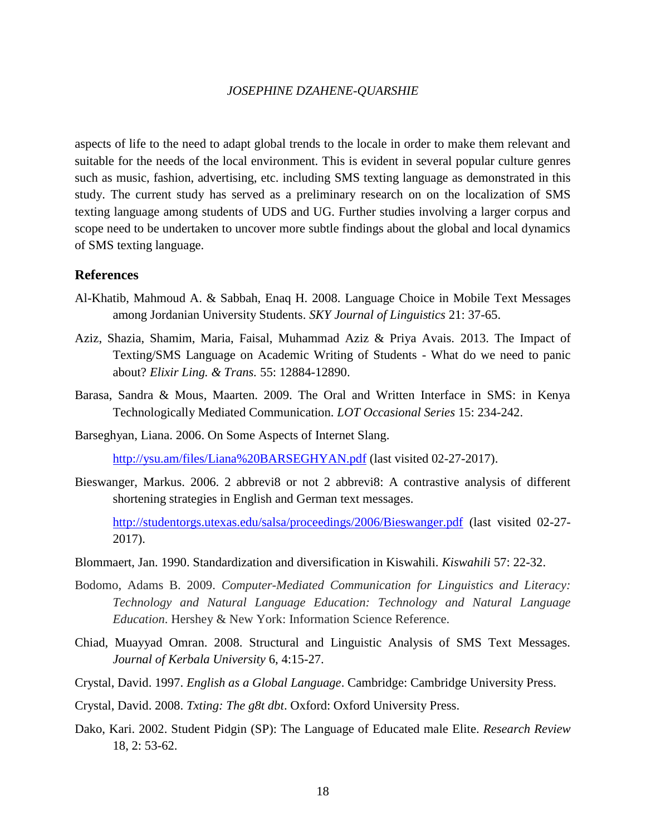aspects of life to the need to adapt global trends to the locale in order to make them relevant and suitable for the needs of the local environment. This is evident in several popular culture genres such as music, fashion, advertising, etc. including SMS texting language as demonstrated in this study. The current study has served as a preliminary research on on the localization of SMS texting language among students of UDS and UG. Further studies involving a larger corpus and scope need to be undertaken to uncover more subtle findings about the global and local dynamics of SMS texting language.

## **References**

- Al-Khatib, Mahmoud A. & Sabbah, Enaq H. 2008. Language Choice in Mobile Text Messages among Jordanian University Students. *SKY Journal of Linguistics* 21: 37-65.
- Aziz, Shazia, Shamim, Maria, Faisal, Muhammad Aziz & Priya Avais. 2013. The Impact of Texting/SMS Language on Academic Writing of Students - What do we need to panic about? *Elixir Ling. & Trans.* 55: 12884-12890.
- Barasa, Sandra & Mous, Maarten. 2009. The Oral and Written Interface in SMS: in Kenya Technologically Mediated Communication. *LOT Occasional Series* 15: 234-242.
- Barseghyan, Liana. 2006. On Some Aspects of Internet Slang.

<http://ysu.am/files/Liana%20BARSEGHYAN.pdf> (last visited 02-27-2017).

Bieswanger, Markus. 2006. 2 abbrevi8 or not 2 abbrevi8: A contrastive analysis of different shortening strategies in English and German text messages.

<http://studentorgs.utexas.edu/salsa/proceedings/2006/Bieswanger.pdf> (last visited 02-27- 2017).

- Blommaert, Jan. 1990. Standardization and diversification in Kiswahili. *Kiswahili* 57: 22-32.
- Bodomo, Adams B. 2009. *Computer-Mediated Communication for Linguistics and Literacy: Technology and Natural Language Education: Technology and Natural Language Education*. Hershey & New York: Information Science Reference.
- Chiad, Muayyad Omran. 2008. Structural and Linguistic Analysis of SMS Text Messages. *Journal of Kerbala University* 6, 4:15-27.
- Crystal, David. 1997. *English as a Global Language*. Cambridge: Cambridge University Press.
- Crystal, David. 2008. *Txting: The g8t dbt*. Oxford: Oxford University Press.
- Dako, Kari. 2002. Student Pidgin (SP): The Language of Educated male Elite. *Research Review*  18, 2: 53-62.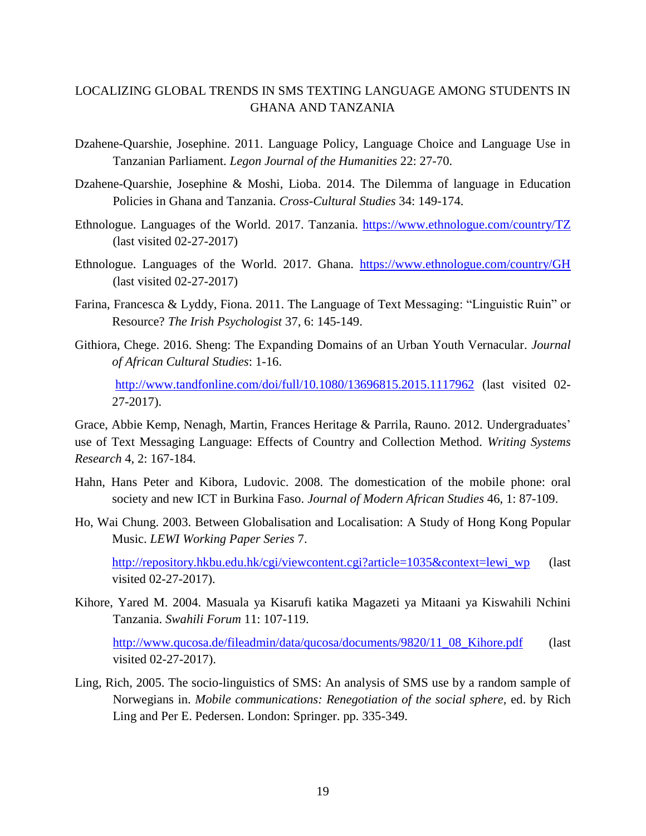- Dzahene-Quarshie, Josephine. 2011. Language Policy, Language Choice and Language Use in Tanzanian Parliament. *Legon Journal of the Humanities* 22: 27-70.
- Dzahene-Quarshie, Josephine & Moshi, Lioba. 2014. The Dilemma of language in Education Policies in Ghana and Tanzania. *Cross-Cultural Studies* 34: 149-174.
- Ethnologue. Languages of the World. 2017. Tanzania.<https://www.ethnologue.com/country/TZ> (last visited 02-27-2017)
- Ethnologue. Languages of the World. 2017. Ghana. <https://www.ethnologue.com/country/GH> (last visited 02-27-2017)
- Farina, Francesca & Lyddy, Fiona. 2011. The Language of Text Messaging: "Linguistic Ruin" or Resource? *The Irish Psychologist* 37, 6: 145-149.
- Githiora, Chege. 2016. Sheng: The Expanding Domains of an Urban Youth Vernacular. *Journal of African Cultural Studies*: 1-16.

<http://www.tandfonline.com/doi/full/10.1080/13696815.2015.1117962> (last visited 02- 27-2017).

Grace, Abbie Kemp, Nenagh, Martin, Frances Heritage & Parrila, Rauno. 2012. Undergraduates' use of Text Messaging Language: Effects of Country and Collection Method. *[Writing Systems](http://www.tandfonline.com/toc/pwsr20/4/2)  [Research](http://www.tandfonline.com/toc/pwsr20/4/2)* 4, 2: 167-184.

- Hahn, Hans Peter and Kibora, Ludovic. 2008. The domestication of the mobile phone: oral society and new ICT in Burkina Faso. *Journal of Modern African Studies* 46, 1: 87-109.
- Ho, Wai Chung. 2003. Between Globalisation and Localisation: A Study of Hong Kong Popular Music. *LEWI Working Paper Series* 7.

[http://repository.hkbu.edu.hk/cgi/viewcontent.cgi?article=1035&context=lewi\\_wp](http://repository.hkbu.edu.hk/cgi/viewcontent.cgi?article=1035&context=lewi_wp) (last visited 02-27-2017).

Kihore, Yared M. 2004. Masuala ya Kisarufi katika Magazeti ya Mitaani ya Kiswahili Nchini Tanzania. *Swahili Forum* 11: 107-119.

[http://www.qucosa.de/fileadmin/data/qucosa/documents/9820/11\\_08\\_Kihore.pdf](http://www.qucosa.de/fileadmin/data/qucosa/documents/9820/11_08_Kihore.pdf) (last visited 02-27-2017).

Ling, Rich, 2005. The socio-linguistics of SMS: An analysis of SMS use by a random sample of Norwegians in. *Mobile communications: Renegotiation of the social sphere,* ed. by Rich Ling and Per E. Pedersen. London: Springer. pp. 335-349.